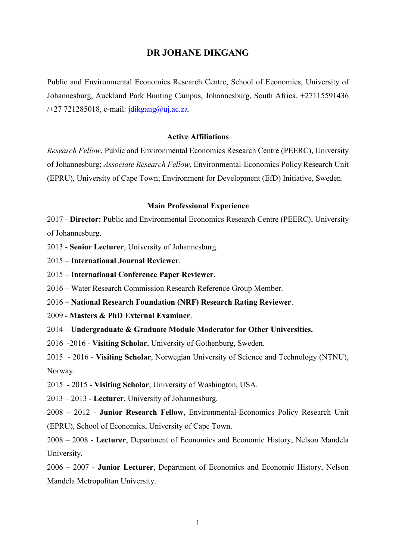## **DR JOHANE DIKGANG**

Public and Environmental Economics Research Centre, School of Economics, University of Johannesburg, Auckland Park Bunting Campus, Johannesburg, South Africa. +27115591436  $/+27$  721285018, e-mail: [jdikgang@uj.ac.za.](mailto:jdikgang@uj.ac.za)

## **Active Affiliations**

*Research Fellow*, Public and Environmental Economics Research Centre (PEERC), University of Johannesburg; *Associate Research Fellow*, Environmental-Economics Policy Research Unit (EPRU), University of Cape Town; Environment for Development (EfD) Initiative, Sweden.

#### **Main Professional Experience**

2017 - **Director:** Public and Environmental Economics Research Centre (PEERC), University of Johannesburg.

2013 - **Senior Lecturer**, University of Johannesburg.

2015 – **International Journal Reviewer**.

2015 – **International Conference Paper Reviewer.**

2016 – Water Research Commission Research Reference Group Member.

2016 – **National Research Foundation (NRF) Research Rating Reviewer**.

2009 - **Masters & PhD External Examiner**.

2014 – **Undergraduate & Graduate Module Moderator for Other Universities.**

2016 -2016 - **Visiting Scholar**, University of Gothenburg, Sweden.

2015 - 2016 - **Visiting Scholar**, Norwegian University of Science and Technology (NTNU), Norway.

2015 - 2015 - **Visiting Scholar**, University of Washington, USA.

2013 – 2013 - **Lecturer**, University of Johannesburg.

2008 – 2012 - **Junior Research Fellow**, Environmental-Economics Policy Research Unit (EPRU), School of Economics, University of Cape Town.

2008 – 2008 - **Lecturer**, Department of Economics and Economic History, Nelson Mandela University.

2006 – 2007 - **Junior Lecturer**, Department of Economics and Economic History, Nelson Mandela Metropolitan University.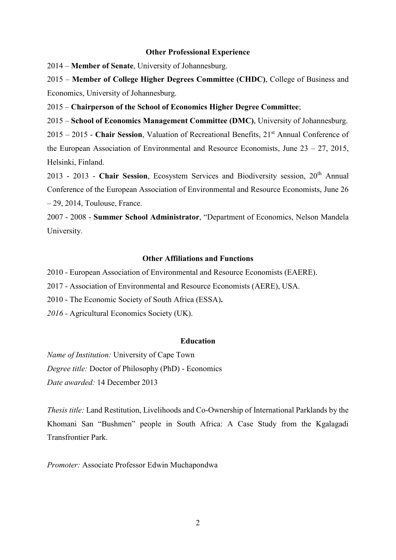#### **Other Professional Experience**

2014 – **Member of Senate**, University of Johannesburg.

2015 – **Member of College Higher Degrees Committee (CHDC)**, College of Business and Economics, University of Johannesburg.

2015 – **Chairperson of the School of Economics Higher Degree Committee**;

2015 – **School of Economics Management Committee (DMC)**, University of Johannesburg.

2015 – 2015 - **Chair Session**, Valuation of Recreational Benefits, 21 st Annual Conference of the European Association of Environmental and Resource Economists, June 23 – 27, 2015, Helsinki, Finland.

2013 - 2013 - **Chair Session**, Ecosystem Services and Biodiversity session, 20th Annual Conference of the European Association of Environmental and Resource Economists, June 26 – 29, 2014, Toulouse, France.

2007 - 2008 - **Summer School Administrator**, "Department of Economics, Nelson Mandela University.

## **Other Affiliations and Functions**

2010 - European Association of Environmental and Resource Economists (EAERE).

2017 - Association of Environmental and Resource Economists (AERE), USA.

2010 - The Economic Society of South Africa (ESSA)**.**

*2016 -* Agricultural Economics Society (UK).

#### **Education**

*Name of Institution:* University of Cape Town *Degree title:* Doctor of Philosophy (PhD) - Economics *Date awarded:* 14 December 2013

*Thesis title:* Land Restitution, Livelihoods and Co-Ownership of International Parklands by the Khomani San "Bushmen" people in South Africa: A Case Study from the Kgalagadi Transfrontier Park.

*Promoter:* Associate Professor Edwin Muchapondwa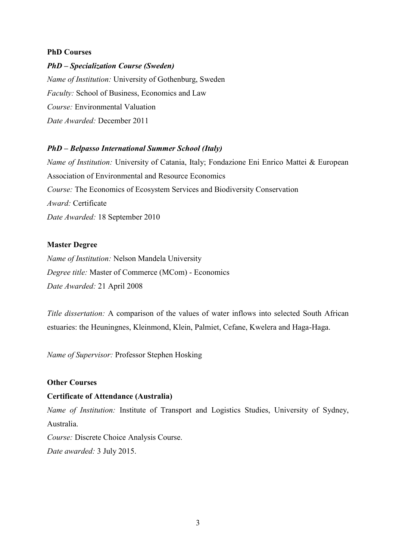## **PhD Courses**

## *PhD – Specialization Course (Sweden)*

*Name of Institution:* University of Gothenburg, Sweden *Faculty:* School of Business, Economics and Law *Course:* Environmental Valuation *Date Awarded:* December 2011

## *PhD – Belpasso International Summer School (Italy)*

*Name of Institution:* University of Catania, Italy; Fondazione Eni Enrico Mattei & European Association of Environmental and Resource Economics *Course:* The Economics of Ecosystem Services and Biodiversity Conservation *Award:* Certificate *Date Awarded:* 18 September 2010

#### **Master Degree**

*Name of Institution:* Nelson Mandela University *Degree title:* Master of Commerce (MCom) - Economics *Date Awarded:* 21 April 2008

*Title dissertation:* A comparison of the values of water inflows into selected South African estuaries: the Heuningnes, Kleinmond, Klein, Palmiet, Cefane, Kwelera and Haga-Haga.

*Name of Supervisor:* Professor Stephen Hosking

## **Other Courses**

## **Certificate of Attendance (Australia)**

*Name of Institution:* Institute of Transport and Logistics Studies, University of Sydney, Australia.

*Course:* Discrete Choice Analysis Course. *Date awarded:* 3 July 2015.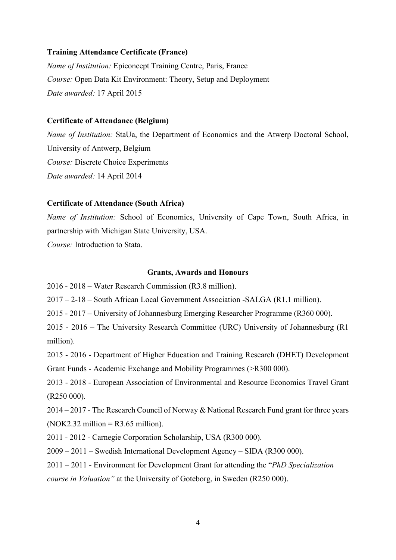#### **Training Attendance Certificate (France)**

*Name of Institution:* Epiconcept Training Centre, Paris, France *Course:* Open Data Kit Environment: Theory, Setup and Deployment *Date awarded:* 17 April 2015

#### **Certificate of Attendance (Belgium)**

*Name of Institution:* StaUa, the Department of Economics and the Atwerp Doctoral School, University of Antwerp, Belgium *Course:* Discrete Choice Experiments *Date awarded:* 14 April 2014

#### **Certificate of Attendance (South Africa)**

*Name of Institution:* School of Economics, University of Cape Town, South Africa, in partnership with Michigan State University, USA.

*Course:* Introduction to Stata.

#### **Grants, Awards and Honours**

2016 - 2018 – Water Research Commission (R3.8 million).

2017 – 2-18 – South African Local Government Association -SALGA (R1.1 million).

2015 - 2017 – University of Johannesburg Emerging Researcher Programme (R360 000).

2015 - 2016 – The University Research Committee (URC) University of Johannesburg (R1 million).

2015 - 2016 - Department of Higher Education and Training Research (DHET) Development

Grant Funds - Academic Exchange and Mobility Programmes (>R300 000).

2013 - 2018 - European Association of Environmental and Resource Economics Travel Grant (R250 000).

2014 – 2017 - The Research Council of Norway & National Research Fund grant for three years  $(NOK2.32 \text{ million} = R3.65 \text{ million})$ .

2011 - 2012 - Carnegie Corporation Scholarship, USA (R300 000).

2009 – 2011 – Swedish International Development Agency – SIDA (R300 000).

2011 – 2011 - Environment for Development Grant for attending the "*PhD Specialization course in Valuation"* at the University of Goteborg, in Sweden (R250 000).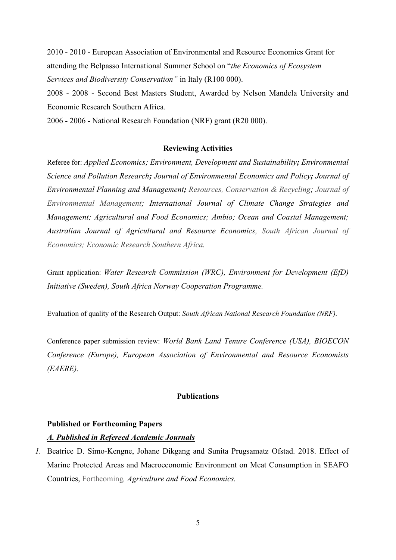2010 - 2010 - European Association of Environmental and Resource Economics Grant for attending the Belpasso International Summer School on "*the Economics of Ecosystem Services and Biodiversity Conservation"* in Italy (R100 000).

2008 - 2008 - Second Best Masters Student, Awarded by Nelson Mandela University and Economic Research Southern Africa.

2006 - 2006 - National Research Foundation (NRF) grant (R20 000).

#### **Reviewing Activities**

Referee for: *Applied Economics; Environment, Development and Sustainability; Environmental Science and Pollution Research; Journal of Environmental Economics and Policy; Journal of Environmental Planning and Management; Resources, Conservation & Recycling; Journal of Environmental Management; International Journal of Climate Change Strategies and Management; Agricultural and Food Economics; Ambio; Ocean and Coastal Management; Australian Journal of Agricultural and Resource Economics, South African Journal of Economics; Economic Research Southern Africa.*

Grant application: *Water Research Commission (WRC), Environment for Development (EfD) Initiative (Sweden), South Africa Norway Cooperation Programme.*

Evaluation of quality of the Research Output: *South African National Research Foundation (NRF).*

Conference paper submission review: *World Bank Land Tenure Conference (USA), BIOECON Conference (Europe), European Association of Environmental and Resource Economists (EAERE).*

## **Publications**

#### **Published or Forthcoming Papers**

#### *A. Published in Refereed Academic Journals*

*1.* Beatrice D. Simo-Kengne, Johane Dikgang and Sunita Prugsamatz Ofstad. 2018. Effect of Marine Protected Areas and Macroeconomic Environment on Meat Consumption in SEAFO Countries, Forthcoming*, Agriculture and Food Economics.*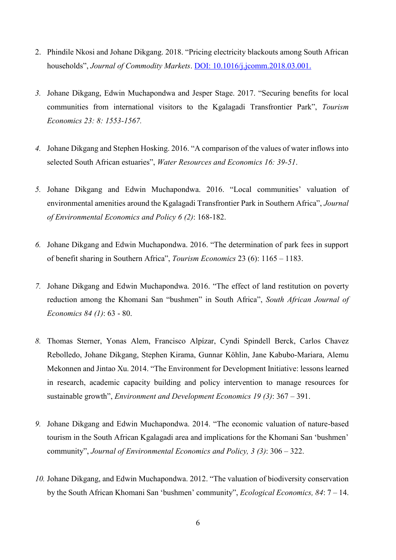- 2. Phindile Nkosi and Johane Dikgang. 2018. "Pricing electricity blackouts among South African households", *Journal of Commodity Markets*. DOI: [10.1016/j.jcomm.2018.03.001.](https://doi.org/10.1016/j.jcomm.2018.03.001)
- *3.* Johane Dikgang, Edwin Muchapondwa and Jesper Stage. 2017. "Securing benefits for local communities from international visitors to the Kgalagadi Transfrontier Park", *Tourism Economics 23: 8: 1553-1567.*
- *4.* Johane Dikgang and Stephen Hosking. 2016. "A comparison of the values of water inflows into selected South African estuaries", *Water Resources and Economics 16: 39-51*.
- *5.* Johane Dikgang and Edwin Muchapondwa. 2016. "Local communities' valuation of environmental amenities around the Kgalagadi Transfrontier Park in Southern Africa", *Journal of Environmental Economics and Policy 6 (2)*: 168-182.
- *6.* Johane Dikgang and Edwin Muchapondwa. 2016. "The determination of park fees in support of benefit sharing in Southern Africa", *Tourism Economics* 23 (6): 1165 – 1183.
- *7.* Johane Dikgang and Edwin Muchapondwa. 2016. "The effect of land restitution on poverty reduction among the Khomani San "bushmen" in South Africa", *South African Journal of Economics 84 (1)*: 63 - 80.
- *8.* Thomas Sterner, Yonas Alem, Francisco Alpízar, Cyndi Spindell Berck, Carlos Chavez Rebolledo, Johane Dikgang, Stephen Kirama, Gunnar Köhlin, Jane Kabubo-Mariara, Alemu Mekonnen and Jintao Xu. 2014. "The Environment for Development Initiative: lessons learned in research, academic capacity building and policy intervention to manage resources for sustainable growth", *Environment and Development Economics 19 (3)*: 367 – 391.
- *9.* Johane Dikgang and Edwin Muchapondwa. 2014. "The economic valuation of nature-based tourism in the South African Kgalagadi area and implications for the Khomani San 'bushmen' community", *Journal of Environmental Economics and Policy, 3 (3)*: 306 – 322.
- *10.* Johane Dikgang, and Edwin Muchapondwa. 2012. "The valuation of biodiversity conservation by the South African Khomani San 'bushmen' community", *Ecological Economics, 84*: 7 – 14.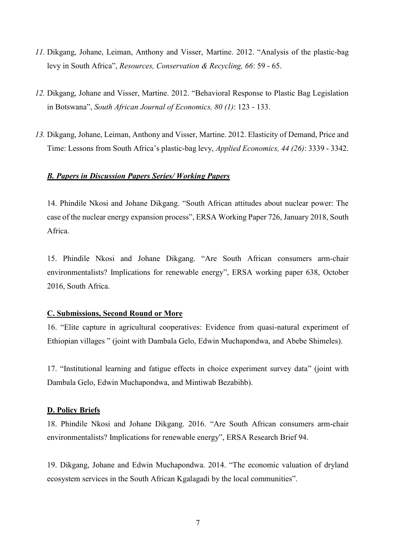- *11.* Dikgang, Johane, Leiman, Anthony and Visser, Martine. 2012. "Analysis of the plastic-bag levy in South Africa", *Resources, Conservation & Recycling, 66*: 59 - 65.
- *12.* Dikgang, Johane and Visser, Martine. 2012. "Behavioral Response to Plastic Bag Legislation in Botswana", *South African Journal of Economics, 80 (1)*: 123 - 133.
- *13.* Dikgang, Johane, Leiman, Anthony and Visser, Martine. 2012. Elasticity of Demand, Price and Time: Lessons from South Africa's plastic-bag levy, *Applied Economics, 44 (26)*: 3339 - 3342.

#### *B. Papers in Discussion Papers Series/ Working Papers*

14. Phindile Nkosi and Johane Dikgang. "South African attitudes about nuclear power: The case of the nuclear energy expansion process", ERSA Working Paper 726, January 2018, South Africa.

15. Phindile Nkosi and Johane Dikgang. "Are South African consumers arm-chair environmentalists? Implications for renewable energy", ERSA working paper 638, October 2016, South Africa.

#### **C. Submissions, Second Round or More**

16. "Elite capture in agricultural cooperatives: Evidence from quasi-natural experiment of Ethiopian villages " (joint with Dambala Gelo, Edwin Muchapondwa, and Abebe Shimeles).

17. "Institutional learning and fatigue effects in choice experiment survey data" (joint with Dambala Gelo, Edwin Muchapondwa, and Mintiwab Bezabihb).

#### **D. Policy Briefs**

18. Phindile Nkosi and Johane Dikgang. 2016. "Are South African consumers arm-chair environmentalists? Implications for renewable energy", ERSA Research Brief 94.

19. Dikgang, Johane and Edwin Muchapondwa. 2014. "The economic valuation of dryland ecosystem services in the South African Kgalagadi by the local communities".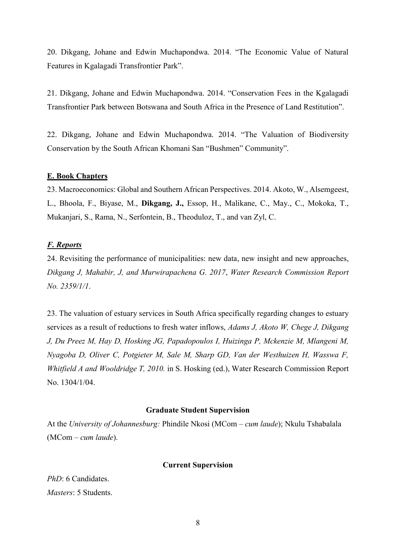20. Dikgang, Johane and Edwin Muchapondwa. 2014. "The Economic Value of Natural Features in Kgalagadi Transfrontier Park".

21. Dikgang, Johane and Edwin Muchapondwa. 2014. "Conservation Fees in the Kgalagadi Transfrontier Park between Botswana and South Africa in the Presence of Land Restitution".

22. Dikgang, Johane and Edwin Muchapondwa. 2014. "The Valuation of Biodiversity Conservation by the South African Khomani San "Bushmen" Community".

#### **E. Book Chapters**

23. Macroeconomics: Global and Southern African Perspectives. 2014. Akoto, W., Alsemgeest, L., Bhoola, F., Biyase, M., **Dikgang, J.,** Essop, H., Malikane, C., May., C., Mokoka, T., Mukanjari, S., Rama, N., Serfontein, B., Theoduloz, T., and van Zyl, C.

#### *F. Reports*

24. Revisiting the performance of municipalities: new data, new insight and new approaches, *Dikgang J, Mahabir, J, and Murwirapachena G. 2017*, *Water Research Commission Report No. 2359/1/1*.

23. The valuation of estuary services in South Africa specifically regarding changes to estuary services as a result of reductions to fresh water inflows, *Adams J, Akoto W, Chege J, Dikgang J, Du Preez M, Hay D, Hosking JG, Papadopoulos I, Huizinga P, Mckenzie M, Mlangeni M, Nyagoba D, Oliver C, Potgieter M, Sale M, Sharp GD, Van der Westhuizen H, Wasswa F, Whitfield A and Wooldridge T, 2010.* in S. Hosking (ed.), Water Research Commission Report No. 1304/1/04.

#### **Graduate Student Supervision**

At the *University of Johannesburg:* Phindile Nkosi (MCom – *cum laude*); Nkulu Tshabalala (MCom – *cum laude*).

#### **Current Supervision**

*PhD*: 6 Candidates. *Masters*: 5 Students.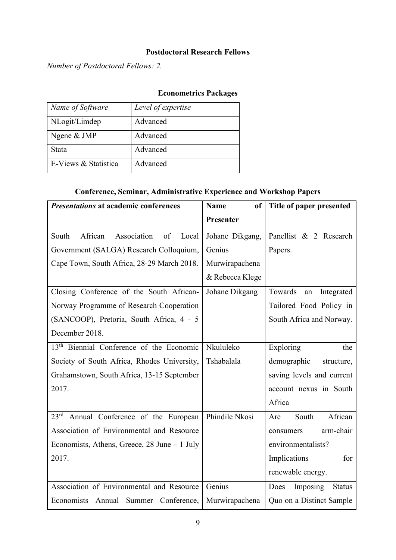## **Postdoctoral Research Fellows**

*Number of Postdoctoral Fellows: 2.*

# **Econometrics Packages**

| Name of Software     | Level of expertise |
|----------------------|--------------------|
| NLogit/Limdep        | Advanced           |
| Ngene & JMP          | Advanced           |
| Stata                | Advanced           |
| E-Views & Statistica | Advanced           |

## **Conference, Seminar, Administrative Experience and Workshop Papers**

| <b>Presentations at academic conferences</b>          | <b>Name</b><br>of | Title of paper presented            |
|-------------------------------------------------------|-------------------|-------------------------------------|
|                                                       | Presenter         |                                     |
| African<br>Association<br>of<br>South<br>Local        | Johane Dikgang,   | Panellist & 2 Research              |
| Government (SALGA) Research Colloquium,               | Genius            | Papers.                             |
| Cape Town, South Africa, 28-29 March 2018.            | Murwirapachena    |                                     |
|                                                       | & Rebecca Klege   |                                     |
| Closing Conference of the South African-              | Johane Dikgang    | Towards<br>Integrated<br>${\rm an}$ |
| Norway Programme of Research Cooperation              |                   | Tailored Food Policy in             |
| (SANCOOP), Pretoria, South Africa, 4 - 5              |                   | South Africa and Norway.            |
| December 2018.                                        |                   |                                     |
| 13 <sup>th</sup> Biennial Conference of the Economic  | Nkululeko         | Exploring<br>the                    |
| Society of South Africa, Rhodes University,           | Tshabalala        | demographic<br>structure,           |
| Grahamstown, South Africa, 13-15 September            |                   | saving levels and current           |
| 2017.                                                 |                   | account nexus in South              |
|                                                       |                   | Africa                              |
| $23^{\text{rd}}$<br>Annual Conference of the European | Phindile Nkosi    | African<br>South<br>Are             |
| Association of Environmental and Resource             |                   | arm-chair<br>consumers              |
| Economists, Athens, Greece, $28$ June $-1$ July       |                   | environmentalists?                  |
| 2017.                                                 |                   | Implications<br>for                 |
|                                                       |                   | renewable energy.                   |
| Association of Environmental and Resource             | Genius            | Imposing<br>Does<br><b>Status</b>   |
| Economists Annual<br>Summer Conference,               | Murwirapachena    | Quo on a Distinct Sample            |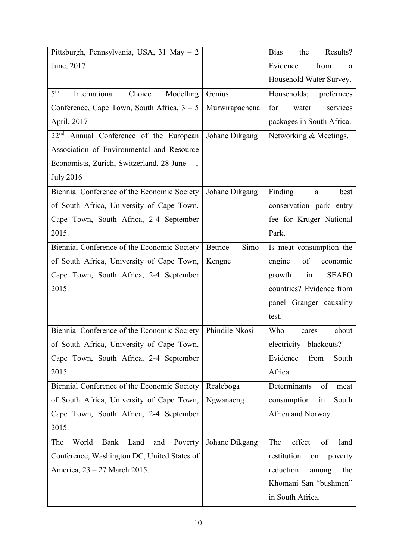| Pittsburgh, Pennsylvania, USA, 31 May - 2               |                  | Results?<br><b>Bias</b><br>the  |
|---------------------------------------------------------|------------------|---------------------------------|
| June, 2017                                              |                  | Evidence<br>from<br>a           |
|                                                         |                  | Household Water Survey.         |
| 5 <sup>th</sup><br>Choice<br>International<br>Modelling | Genius           | Households;<br>prefernces       |
| Conference, Cape Town, South Africa, $3 - 5$            | Murwirapachena   | for<br>water<br>services        |
| April, 2017                                             |                  | packages in South Africa.       |
| 22 <sup>nd</sup> Annual Conference of the European      | Johane Dikgang   | Networking & Meetings.          |
| Association of Environmental and Resource               |                  |                                 |
| Economists, Zurich, Switzerland, $28$ June $-1$         |                  |                                 |
| <b>July 2016</b>                                        |                  |                                 |
| Biennial Conference of the Economic Society             | Johane Dikgang   | Finding<br>best<br>$\mathbf{a}$ |
| of South Africa, University of Cape Town,               |                  | conservation park entry         |
| Cape Town, South Africa, 2-4 September                  |                  | fee for Kruger National         |
| 2015.                                                   |                  | Park.                           |
| Biennial Conference of the Economic Society             | Simo-<br>Betrice | Is meat consumption the         |
| of South Africa, University of Cape Town,               | Kengne           | engine<br>of<br>economic        |
| Cape Town, South Africa, 2-4 September                  |                  | in<br>growth<br><b>SEAFO</b>    |
| 2015.                                                   |                  | countries? Evidence from        |
|                                                         |                  | panel Granger causality         |
|                                                         |                  | test.                           |
| Biennial Conference of the Economic Society             | Phindile Nkosi   | Who<br>about<br>cares           |
| of South Africa, University of Cape Town,               |                  | electricity blackouts? -        |
| Cape Town, South Africa, 2-4 September                  |                  | Evidence<br>from<br>South       |
| 2015.                                                   |                  | Africa.                         |
| Biennial Conference of the Economic Society             | Realeboga        | Determinants<br>of<br>meat      |
| of South Africa, University of Cape Town,               | Ngwanaeng        | consumption<br>South<br>in      |
| Cape Town, South Africa, 2-4 September                  |                  | Africa and Norway.              |
| 2015.                                                   |                  |                                 |
| The<br>World<br>Bank<br>Land<br>and<br>Poverty          | Johane Dikgang   | The<br>effect<br>of<br>land     |
| Conference, Washington DC, United States of             |                  | restitution<br>poverty<br>on    |
| America, 23 – 27 March 2015.                            |                  | reduction<br>among<br>the       |
|                                                         |                  | Khomani San "bushmen"           |
|                                                         |                  | in South Africa.                |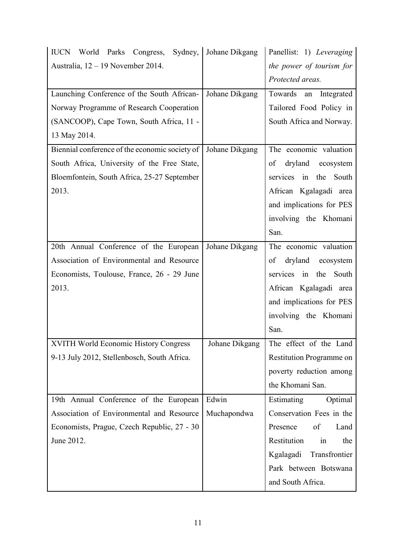| IUCN World Parks Congress, Sydney, Johane Dikgang |                | Panellist: 1) Leveraging                |
|---------------------------------------------------|----------------|-----------------------------------------|
| Australia, $12 - 19$ November 2014.               |                | the power of tourism for                |
|                                                   |                | Protected areas.                        |
| Launching Conference of the South African-        | Johane Dikgang | Towards<br>Integrated<br>an             |
| Norway Programme of Research Cooperation          |                | Tailored Food Policy in                 |
| (SANCOOP), Cape Town, South Africa, 11 -          |                | South Africa and Norway.                |
| 13 May 2014.                                      |                |                                         |
| Biennial conference of the economic society of    | Johane Dikgang | The economic valuation                  |
| South Africa, University of the Free State,       |                | dryland ecosystem<br>of                 |
| Bloemfontein, South Africa, 25-27 September       |                | services in the South                   |
| 2013.                                             |                | African Kgalagadi area                  |
|                                                   |                | and implications for PES                |
|                                                   |                | involving the Khomani                   |
|                                                   |                | San.                                    |
| 20th Annual Conference of the European            | Johane Dikgang | The economic valuation                  |
| Association of Environmental and Resource         |                | dryland ecosystem<br>of                 |
| Economists, Toulouse, France, 26 - 29 June        |                | services in the South                   |
| 2013.                                             |                | African Kgalagadi area                  |
|                                                   |                | and implications for PES                |
|                                                   |                | involving the Khomani                   |
|                                                   |                | San.                                    |
| XVITH World Economic History Congress             |                | Johane Dikgang   The effect of the Land |
| 9-13 July 2012, Stellenbosch, South Africa.       |                | Restitution Programme on                |
|                                                   |                | poverty reduction among                 |
|                                                   |                | the Khomani San.                        |
| 19th Annual Conference of the European            | Edwin          | Estimating<br>Optimal                   |
| Association of Environmental and Resource         | Muchapondwa    | Conservation Fees in the                |
| Economists, Prague, Czech Republic, 27 - 30       |                | of<br>Land<br>Presence                  |
| June 2012.                                        |                | Restitution<br>in<br>the                |
|                                                   |                | Kgalagadi<br>Transfrontier              |
|                                                   |                | Park between Botswana                   |
|                                                   |                | and South Africa.                       |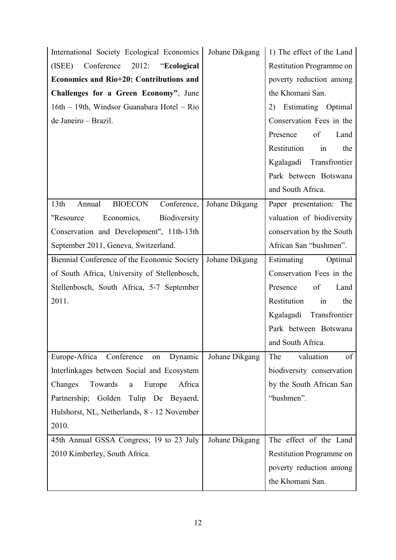| International Society Ecological Economics                  | Johane Dikgang | 1) The effect of the Land |
|-------------------------------------------------------------|----------------|---------------------------|
| Conference<br>2012:<br>(ISEE)<br>"Ecological                |                | Restitution Programme on  |
| Economics and Rio+20: Contributions and                     |                | poverty reduction among   |
| Challenges for a Green Economy", June                       |                | the Khomani San.          |
| 16th - 19th, Windsor Guanabara Hotel - Rio                  |                | 2) Estimating Optimal     |
| de Janeiro - Brazil.                                        |                | Conservation Fees in the  |
|                                                             |                | Presence<br>of<br>Land    |
|                                                             |                | Restitution<br>in<br>the  |
|                                                             |                | Kgalagadi Transfrontier   |
|                                                             |                | Park between Botswana     |
|                                                             |                | and South Africa.         |
| 13 <sup>th</sup><br>Annual<br><b>BIOECON</b><br>Conference, | Johane Dikgang | Paper presentation: The   |
| Economics,<br>Biodiversity<br>"Resource                     |                | valuation of biodiversity |
| Conservation and Development", 11th-13th                    |                | conservation by the South |
| September 2011, Geneva, Switzerland.                        |                | African San "bushmen".    |
| Biennial Conference of the Economic Society                 | Johane Dikgang | Estimating<br>Optimal     |
| of South Africa, University of Stellenbosch,                |                | Conservation Fees in the  |
| Stellenbosch, South Africa, 5-7 September                   |                | of<br>Presence<br>Land    |
| 2011.                                                       |                | Restitution<br>in<br>the  |
|                                                             |                | Kgalagadi Transfrontier   |
|                                                             |                | Park between Botswana     |
|                                                             |                | and South Africa.         |
| Europe-Africa Conference<br>Dynamic<br>on                   | Johane Dikgang | valuation<br>of<br>The    |
| Interlinkages between Social and Ecosystem                  |                | biodiversity conservation |
| Africa<br>Changes<br>Towards<br>Europe<br>$\mathbf{a}$      |                | by the South African San  |
| Partnership; Golden Tulip De Beyaerd,                       |                | "bushmen".                |
| Hulshorst, NL, Netherlands, 8 - 12 November                 |                |                           |
| 2010.                                                       |                |                           |
| 45th Annual GSSA Congress; 19 to 23 July                    | Johane Dikgang | The effect of the Land    |
| 2010 Kimberley, South Africa.                               |                | Restitution Programme on  |
|                                                             |                | poverty reduction among   |
|                                                             |                | the Khomani San.          |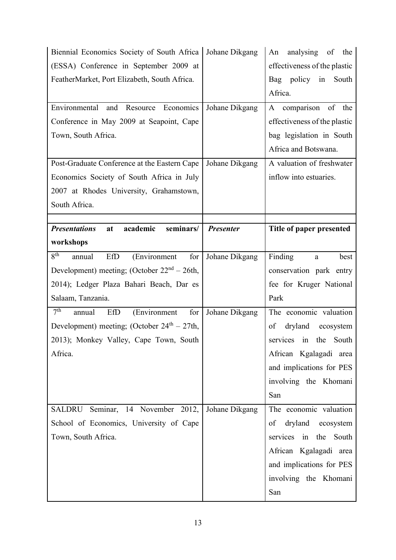| Biennial Economics Society of South Africa<br>(ESSA) Conference in September 2009 at<br>FeatherMarket, Port Elizabeth, South Africa.<br>Environmental<br>and<br>Resource Economics<br>Conference in May 2009 at Seapoint, Cape<br>Town, South Africa.                            | Johane Dikgang<br>Johane Dikgang | analysing of the<br>An<br>effectiveness of the plastic<br>Bag policy in<br>South<br>Africa.<br>comparison of the<br>A<br>effectiveness of the plastic<br>bag legislation in South<br>Africa and Botswana. |
|----------------------------------------------------------------------------------------------------------------------------------------------------------------------------------------------------------------------------------------------------------------------------------|----------------------------------|-----------------------------------------------------------------------------------------------------------------------------------------------------------------------------------------------------------|
| Post-Graduate Conference at the Eastern Cape<br>Economics Society of South Africa in July<br>2007 at Rhodes University, Grahamstown,<br>South Africa.                                                                                                                            | Johane Dikgang                   | A valuation of freshwater<br>inflow into estuaries.                                                                                                                                                       |
| <b>Presentations</b><br>academic<br>seminars/<br>at<br>workshops                                                                                                                                                                                                                 | <b>Presenter</b>                 | Title of paper presented                                                                                                                                                                                  |
| $8^{th}$<br>for<br>annual<br>EfD<br>(Environment<br>Development) meeting; (October $22nd - 26th$ ,<br>2014); Ledger Plaza Bahari Beach, Dar es<br>Salaam, Tanzania.<br>7 <sup>th</sup><br>for<br>EfD<br>annual<br>(Environment<br>Development) meeting; (October $24th - 27th$ , | Johane Dikgang<br>Johane Dikgang | Finding<br>best<br>a<br>conservation park entry<br>fee for Kruger National<br>Park<br>The economic valuation<br>dryland<br>ecosystem<br>of                                                                |
| 2013); Monkey Valley, Cape Town, South<br>Africa.                                                                                                                                                                                                                                |                                  | services in the<br>South<br>African Kgalagadi area<br>and implications for PES<br>involving the Khomani<br>San                                                                                            |
| Seminar, 14 November 2012,<br>SALDRU<br>School of Economics, University of Cape<br>Town, South Africa.                                                                                                                                                                           | Johane Dikgang                   | The economic valuation<br>dryland ecosystem<br>of<br>services in the South<br>African Kgalagadi area<br>and implications for PES<br>involving the Khomani<br>San                                          |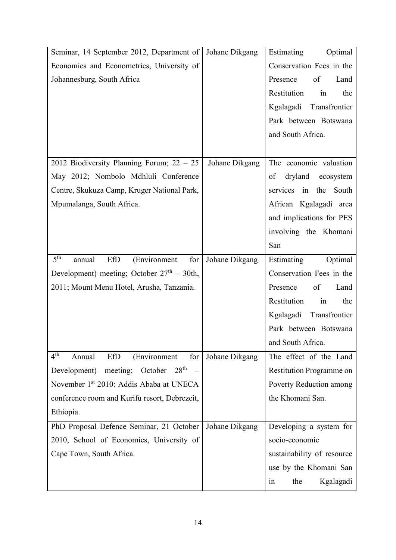| Seminar, 14 September 2012, Department of   Johane Dikgang |                | Estimating<br>Optimal      |
|------------------------------------------------------------|----------------|----------------------------|
| Economics and Econometrics, University of                  |                | Conservation Fees in the   |
| Johannesburg, South Africa                                 |                | of<br>Presence<br>Land     |
|                                                            |                | Restitution<br>in<br>the   |
|                                                            |                | Kgalagadi Transfrontier    |
|                                                            |                | Park between Botswana      |
|                                                            |                | and South Africa.          |
|                                                            |                |                            |
| 2012 Biodiversity Planning Forum; 22 - 25                  | Johane Dikgang | The economic valuation     |
| May 2012; Nombolo Mdhluli Conference                       |                | dryland ecosystem<br>of    |
| Centre, Skukuza Camp, Kruger National Park,                |                | services in the South      |
| Mpumalanga, South Africa.                                  |                | African Kgalagadi area     |
|                                                            |                | and implications for PES   |
|                                                            |                | involving the Khomani      |
|                                                            |                | San                        |
| 5 <sup>th</sup><br>EfD<br>(Environment<br>for<br>annual    | Johane Dikgang | Estimating Optimal         |
| Development) meeting; October $27th - 30th$ ,              |                | Conservation Fees in the   |
| 2011; Mount Menu Hotel, Arusha, Tanzania.                  |                | of<br>Presence<br>Land     |
|                                                            |                | Restitution<br>in<br>the   |
|                                                            |                | Kgalagadi Transfrontier    |
|                                                            |                | Park between Botswana      |
|                                                            |                | and South Africa.          |
| 4 <sup>th</sup><br>Annual<br>EfD<br>for<br>(Environment    | Johane Dikgang | The effect of the Land     |
| 28 <sup>th</sup><br>meeting; October<br>Development)       |                | Restitution Programme on   |
| November 1 <sup>st</sup> 2010: Addis Ababa at UNECA        |                | Poverty Reduction among    |
| conference room and Kurifu resort, Debrezeit,              |                | the Khomani San.           |
| Ethiopia.                                                  |                |                            |
| PhD Proposal Defence Seminar, 21 October                   | Johane Dikgang | Developing a system for    |
| 2010, School of Economics, University of                   |                | socio-economic             |
| Cape Town, South Africa.                                   |                | sustainability of resource |
|                                                            |                | use by the Khomani San     |
|                                                            |                | Kgalagadi<br>the<br>1n     |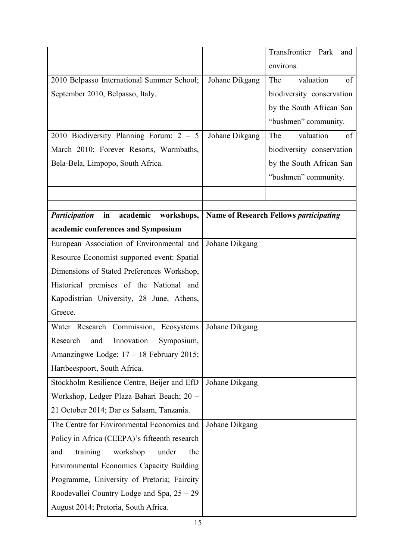|                                                      |                | Transfrontier Park<br>and                     |
|------------------------------------------------------|----------------|-----------------------------------------------|
|                                                      |                | environs.                                     |
| 2010 Belpasso International Summer School;           | Johane Dikgang | valuation<br>The<br>of                        |
| September 2010, Belpasso, Italy.                     |                | biodiversity conservation                     |
|                                                      |                | by the South African San                      |
|                                                      |                | "bushmen" community.                          |
| 2010 Biodiversity Planning Forum; $2 - 5$            | Johane Dikgang | valuation<br>The<br>of                        |
| March 2010; Forever Resorts, Warmbaths,              |                | biodiversity conservation                     |
| Bela-Bela, Limpopo, South Africa.                    |                | by the South African San                      |
|                                                      |                | "bushmen" community.                          |
|                                                      |                |                                               |
| academic<br><b>Participation</b><br>in<br>workshops, |                | <b>Name of Research Fellows participating</b> |
| academic conferences and Symposium                   |                |                                               |
| European Association of Environmental and            | Johane Dikgang |                                               |
| Resource Economist supported event: Spatial          |                |                                               |
| Dimensions of Stated Preferences Workshop,           |                |                                               |
| Historical premises of the National and              |                |                                               |
| Kapodistrian University, 28 June, Athens,            |                |                                               |
| Greece.                                              |                |                                               |
| Water Research Commission, Ecosystems                | Johane Dikgang |                                               |
| Research<br>Innovation<br>Symposium,<br>and          |                |                                               |
| Amanzingwe Lodge; $17 - 18$ February 2015;           |                |                                               |
| Hartbeespoort, South Africa.                         |                |                                               |
| Stockholm Resilience Centre, Beijer and EfD          | Johane Dikgang |                                               |
| Workshop, Ledger Plaza Bahari Beach; 20 -            |                |                                               |
| 21 October 2014; Dar es Salaam, Tanzania.            |                |                                               |
| The Centre for Environmental Economics and           | Johane Dikgang |                                               |
| Policy in Africa (CEEPA)'s fifteenth research        |                |                                               |
| training<br>workshop<br>under<br>and<br>the          |                |                                               |
| <b>Environmental Economics Capacity Building</b>     |                |                                               |
| Programme, University of Pretoria; Faircity          |                |                                               |
| Roodevallei Country Lodge and Spa, $25 - 29$         |                |                                               |
| August 2014; Pretoria, South Africa.                 |                |                                               |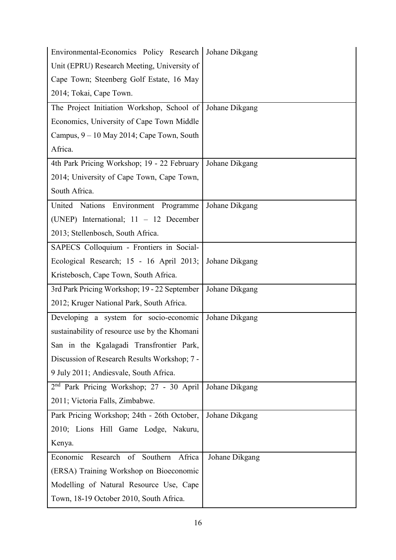| Environmental-Economics Policy Research   Johane Dikgang |                |
|----------------------------------------------------------|----------------|
| Unit (EPRU) Research Meeting, University of              |                |
| Cape Town; Steenberg Golf Estate, 16 May                 |                |
| 2014; Tokai, Cape Town.                                  |                |
| The Project Initiation Workshop, School of               | Johane Dikgang |
| Economics, University of Cape Town Middle                |                |
| Campus, 9 – 10 May 2014; Cape Town, South                |                |
| Africa.                                                  |                |
| 4th Park Pricing Workshop; 19 - 22 February              | Johane Dikgang |
| 2014; University of Cape Town, Cape Town,                |                |
| South Africa.                                            |                |
| Environment Programme<br>United Nations                  | Johane Dikgang |
| (UNEP) International; $11 - 12$ December                 |                |
| 2013; Stellenbosch, South Africa.                        |                |
| SAPECS Colloquium - Frontiers in Social-                 |                |
| Ecological Research; 15 - 16 April 2013;                 | Johane Dikgang |
| Kristebosch, Cape Town, South Africa.                    |                |
| 3rd Park Pricing Workshop; 19 - 22 September             | Johane Dikgang |
| 2012; Kruger National Park, South Africa.                |                |
| Developing a system for socio-economic                   | Johane Dikgang |
| sustainability of resource use by the Khomani            |                |
| San in the Kgalagadi Transfrontier Park,                 |                |
| Discussion of Research Results Workshop; 7 -             |                |
| 9 July 2011; Andiesvale, South Africa.                   |                |
| 2 <sup>nd</sup> Park Pricing Workshop; 27 - 30 April     | Johane Dikgang |
| 2011; Victoria Falls, Zimbabwe.                          |                |
| Park Pricing Workshop; 24th - 26th October,              | Johane Dikgang |
| 2010; Lions Hill Game Lodge, Nakuru,                     |                |
| Kenya.                                                   |                |
| Economic<br>Research<br>of<br>Southern<br>Africa         | Johane Dikgang |
| (ERSA) Training Workshop on Bioeconomic                  |                |
| Modelling of Natural Resource Use, Cape                  |                |
| Town, 18-19 October 2010, South Africa.                  |                |